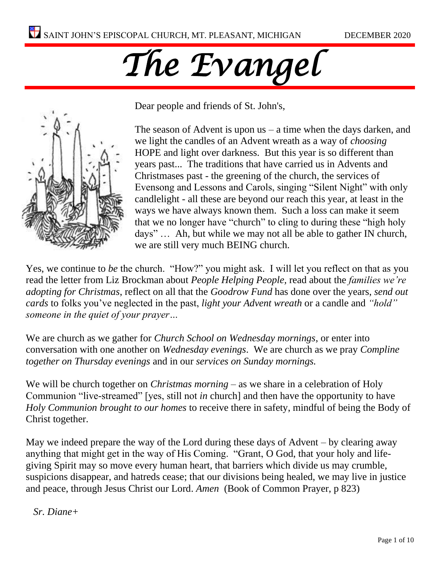# *The Evangel*



Dear people and friends of St. John's,

The season of Advent is upon  $us - a$  time when the days darken, and we light the candles of an Advent wreath as a way of *choosing* HOPE and light over darkness. But this year is so different than years past... The traditions that have carried us in Advents and Christmases past - the greening of the church, the services of Evensong and Lessons and Carols, singing "Silent Night" with only candlelight - all these are beyond our reach this year, at least in the ways we have always known them. Such a loss can make it seem that we no longer have "church" to cling to during these "high holy days" … Ah, but while we may not all be able to gather IN church, we are still very much BEING church.

Yes, we continue to *be* the church. "How?" you might ask. I will let you reflect on that as you read the letter from Liz Brockman about *People Helping People,* read about the *families we're adopting for Christmas*, reflect on all that the *Goodrow Fund* has done over the years, *send out cards* to folks you've neglected in the past, *light your Advent wreath* or a candle and *"hold" someone in the quiet of your prayer…* 

We are church as we gather for *Church School on Wednesday mornings*, or enter into conversation with one another on *Wednesday evenings*. We are church as we pray *Compline together on Thursday evenings* and in our *services on Sunday mornings.* 

We will be church together on *Christmas morning* – as we share in a celebration of Holy Communion "live-streamed" [yes, still not *in* church] and then have the opportunity to have *Holy Communion brought to our homes* to receive there in safety, mindful of being the Body of Christ together.

May we indeed prepare the way of the Lord during these days of Advent – by clearing away anything that might get in the way of His Coming. "Grant, O God, that your holy and lifegiving Spirit may so move every human heart, that barriers which divide us may crumble, suspicions disappear, and hatreds cease; that our divisions being healed, we may live in justice and peace, through Jesus Christ our Lord. *Amen* (Book of Common Prayer, p 823)

*Sr. Diane+*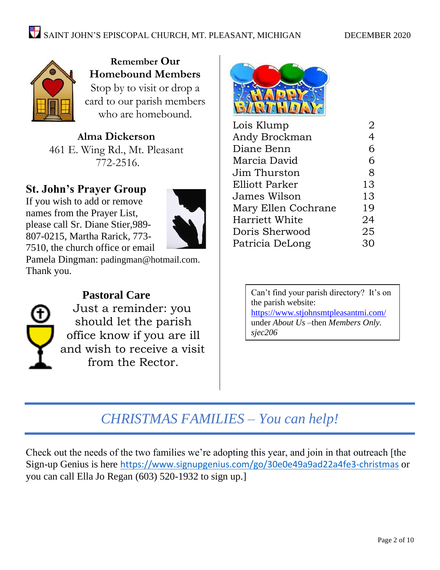

**Remember Our Homebound Members** Stop by to visit or drop a card to our parish members who are homebound.

**Alma Dickerson** 461 E. Wing Rd., Mt. Pleasant 772-2516.

## **St. John's Prayer Group**

If you wish to add or remove names from the Prayer List, please call Sr. Diane Stier,989- 807-0215, Martha Rarick, 773- 7510, the church office or email



Pamela Dingman: [padingman@hotmail.com.](mailto:padingman@hotmail.com) Thank you.



## **Pastoral Care**

Just a reminder: you should let the parish office know if you are ill and wish to receive a visit from the Rector.



| Lois Klump          | 2              |
|---------------------|----------------|
| Andy Brockman       | $\overline{4}$ |
| Diane Benn          | 6              |
| Marcia David        | 6              |
| Jim Thurston        | 8              |
| Elliott Parker      | 13             |
| James Wilson        | 13             |
| Mary Ellen Cochrane | 19             |
| Harriett White      | 24             |
| Doris Sherwood      | 25             |
| Patricia DeLong     | 30             |
|                     |                |

Can't find your parish directory? It's on the parish website: <https://www.stjohnsmtpleasantmi.com/> under *About Us –*then *Members Only. sjec206*

# *CHRISTMAS FAMILIES – You can help!*

Check out the needs of the two families we're adopting this year, and join in that outreach [the Sign-up Genius is here <https://www.signupgenius.com/go/30e0e49a9ad22a4fe3-christmas> or you can call Ella Jo Regan (603) 520-1932 to sign up.]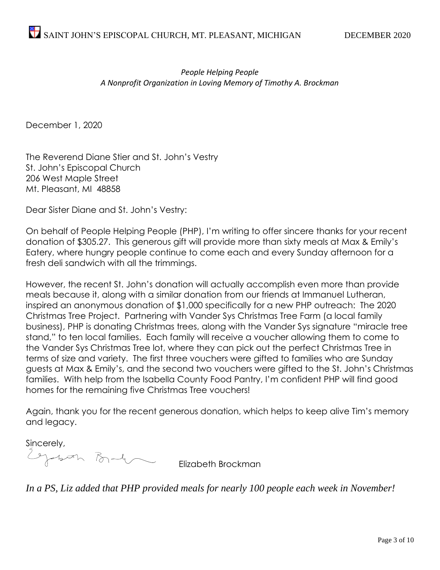#### *People Helping People A Nonprofit Organization in Loving Memory of Timothy A. Brockman*

December 1, 2020

The Reverend Diane Stier and St. John's Vestry St. John's Episcopal Church 206 West Maple Street Mt. Pleasant, MI 48858

Dear Sister Diane and St. John's Vestry:

On behalf of People Helping People (PHP), I'm writing to offer sincere thanks for your recent donation of \$305.27. This generous gift will provide more than sixty meals at Max & Emily's Eatery, where hungry people continue to come each and every Sunday afternoon for a fresh deli sandwich with all the trimmings.

However, the recent St. John's donation will actually accomplish even more than provide meals because it, along with a similar donation from our friends at Immanuel Lutheran, inspired an anonymous donation of \$1,000 specifically for a new PHP outreach: The 2020 Christmas Tree Project. Partnering with Vander Sys Christmas Tree Farm (a local family business), PHP is donating Christmas trees, along with the Vander Sys signature "miracle tree stand," to ten local families. Each family will receive a voucher allowing them to come to the Vander Sys Christmas Tree lot, where they can pick out the perfect Christmas Tree in terms of size and variety. The first three vouchers were gifted to families who are Sunday guests at Max & Emily's, and the second two vouchers were gifted to the St. John's Christmas families. With help from the Isabella County Food Pantry, I'm confident PHP will find good homes for the remaining five Christmas Tree vouchers!

Again, thank you for the recent generous donation, which helps to keep alive Tim's memory and legacy.

Sincerely,<br>Egyptimetra Barbon

Elizabeth Brockman

*In a PS, Liz added that PHP provided meals for nearly 100 people each week in November!*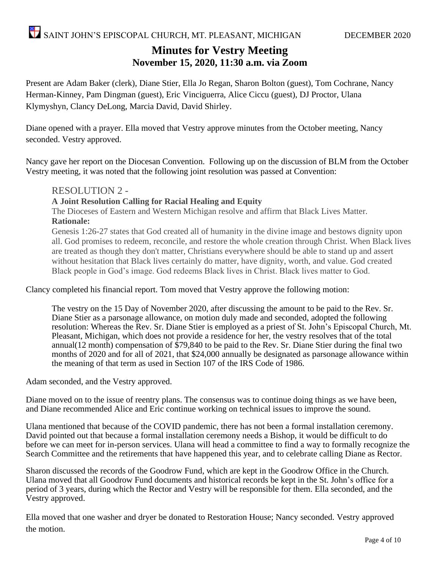### **Minutes for Vestry Meeting November 15, 2020, 11:30 a.m. via Zoom**

Present are Adam Baker (clerk), Diane Stier, Ella Jo Regan, Sharon Bolton (guest), Tom Cochrane, Nancy Herman-Kinney, Pam Dingman (guest), Eric Vinciguerra, Alice Ciccu (guest), DJ Proctor, Ulana Klymyshyn, Clancy DeLong, Marcia David, David Shirley.

Diane opened with a prayer. Ella moved that Vestry approve minutes from the October meeting, Nancy seconded. Vestry approved.

Nancy gave her report on the Diocesan Convention. Following up on the discussion of BLM from the October Vestry meeting, it was noted that the following joint resolution was passed at Convention:

#### RESOLUTION 2 -

#### **A Joint Resolution Calling for Racial Healing and Equity**

The Dioceses of Eastern and Western Michigan resolve and affirm that Black Lives Matter. **Rationale:**

Genesis 1:26-27 states that God created all of humanity in the divine image and bestows dignity upon all. God promises to redeem, reconcile, and restore the whole creation through Christ. When Black lives are treated as though they don't matter, Christians everywhere should be able to stand up and assert without hesitation that Black lives certainly do matter, have dignity, worth, and value. God created Black people in God's image. God redeems Black lives in Christ. Black lives matter to God.

Clancy completed his financial report. Tom moved that Vestry approve the following motion:

The vestry on the 15 Day of November 2020, after discussing the amount to be paid to the Rev. Sr. Diane Stier as a parsonage allowance, on motion duly made and seconded, adopted the following resolution: Whereas the Rev. Sr. Diane Stier is employed as a priest of St. John's Episcopal Church, Mt. Pleasant, Michigan, which does not provide a residence for her, the vestry resolves that of the total annual(12 month) compensation of \$79,840 to be paid to the Rev. Sr. Diane Stier during the final two months of 2020 and for all of 2021, that \$24,000 annually be designated as parsonage allowance within the meaning of that term as used in Section 107 of the IRS Code of 1986.

Adam seconded, and the Vestry approved.

Diane moved on to the issue of reentry plans. The consensus was to continue doing things as we have been, and Diane recommended Alice and Eric continue working on technical issues to improve the sound.

Ulana mentioned that because of the COVID pandemic, there has not been a formal installation ceremony. David pointed out that because a formal installation ceremony needs a Bishop, it would be difficult to do before we can meet for in-person services. Ulana will head a committee to find a way to formally recognize the Search Committee and the retirements that have happened this year, and to celebrate calling Diane as Rector.

Sharon discussed the records of the Goodrow Fund, which are kept in the Goodrow Office in the Church. Ulana moved that all Goodrow Fund documents and historical records be kept in the St. John's office for a period of 3 years, during which the Rector and Vestry will be responsible for them. Ella seconded, and the Vestry approved.

Ella moved that one washer and dryer be donated to Restoration House; Nancy seconded. Vestry approved the motion.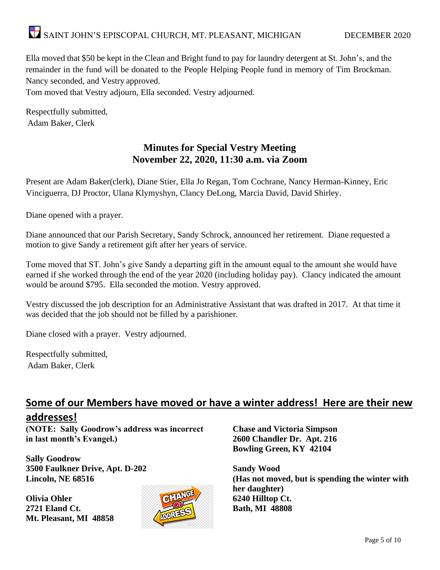Ella moved that \$50 be kept in the Clean and Bright fund to pay for laundry detergent at St. John's, and the remainder in the fund will be donated to the People Helping People fund in memory of Tim Brockman. Nancy seconded, and Vestry approved.

Tom moved that Vestry adjourn, Ella seconded. Vestry adjourned.

Respectfully submitted, Adam Baker, Clerk

#### **Minutes for Special Vestry Meeting November 22, 2020, 11:30 a.m. via Zoom**

Present are Adam Baker(clerk), Diane Stier, Ella Jo Regan, Tom Cochrane, Nancy Herman-Kinney, Eric Vinciguerra, DJ Proctor, Ulana Klymyshyn, Clancy DeLong, Marcia David, David Shirley.

Diane opened with a prayer.

Diane announced that our Parish Secretary, Sandy Schrock, announced her retirement. Diane requested a motion to give Sandy a retirement gift after her years of service.

Tome moved that ST. John's give Sandy a departing gift in the amount equal to the amount she would have earned if she worked through the end of the year 2020 (including holiday pay). Clancy indicated the amount would be around \$795. Ella seconded the motion. Vestry approved.

Vestry discussed the job description for an Administrative Assistant that was drafted in 2017. At that time it was decided that the job should not be filled by a parishioner.

Diane closed with a prayer. Vestry adjourned.

Respectfully submitted, Adam Baker, Clerk

#### **Some of our Members have moved or have a winter address! Here are their new addresses!**

**(NOTE: Sally Goodrow's address was incorrect in last month's Evangel.)**

**Sally Goodrow 3500 Faulkner Drive, Apt. D-202 Lincoln, NE 68516**

**Olivia Ohler 2721 Eland Ct. Mt. Pleasant, MI 48858**



**Chase and Victoria Simpson 2600 Chandler Dr. Apt. 216 Bowling Green, KY 42104**

**Sandy Wood (Has not moved, but is spending the winter with her daughter) 6240 Hilltop Ct. Bath, MI 48808**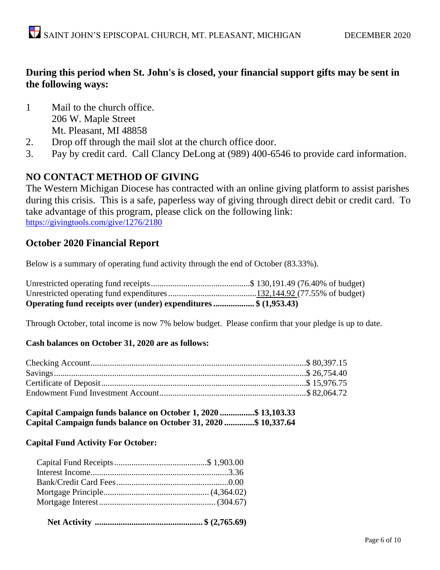#### **During this period when St. John's is closed, your financial support gifts may be sent in the following ways:**

- 1 Mail to the church office. 206 W. Maple Street Mt. Pleasant, MI 48858
- 2. Drop off through the mail slot at the church office door.
- 3. Pay by credit card. Call Clancy DeLong at (989) 400-6546 to provide card information.

#### **NO CONTACT METHOD OF GIVING**

The Western Michigan Diocese has contracted with an online giving platform to assist parishes during this crisis. This is a safe, paperless way of giving through direct debit or credit card. To take advantage of this program, please click on the following link: <https://givingtools.com/give/1276/2180>

#### **October 2020 Financial Report**

Below is a summary of operating fund activity through the end of October (83.33%).

| Operating fund receipts over (under) expenditures \$ (1,953.43) |  |
|-----------------------------------------------------------------|--|

Through October, total income is now 7% below budget. Please confirm that your pledge is up to date.

#### **Cash balances on October 31, 2020 are as follows:**

| Capital Campaign funds balance on October 1, 2020 \$ 13,103.33  |  |  |
|-----------------------------------------------------------------|--|--|
| Capital Campaign funds balance on October 31, 2020 \$ 10,337.64 |  |  |

#### **Capital Fund Activity For October:**

|--|--|--|--|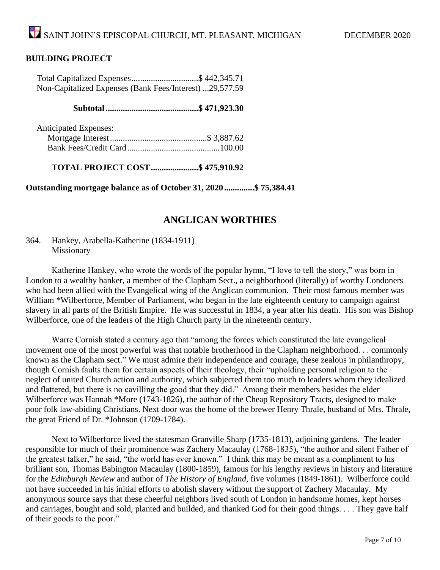#### **BUILDING PROJECT**

| Total Capitalized Expenses\$ 442,345.71                 |  |
|---------------------------------------------------------|--|
| Non-Capitalized Expenses (Bank Fees/Interest) 29,577.59 |  |
|                                                         |  |

#### **Subtotal...........................................\$ 471,923.30**

| <b>Anticipated Expenses:</b> |  |
|------------------------------|--|
|                              |  |
|                              |  |

**TOTAL PROJECT COST......................\$ 475,910.92**

**Outstanding mortgage balance as of October 31, 2020..............\$ 75,384.41**

#### **ANGLICAN WORTHIES**

364. Hankey, Arabella-Katherine (1834-1911) Missionary

Katherine Hankey, who wrote the words of the popular hymn, "I love to tell the story," was born in London to a wealthy banker, a member of the Clapham Sect., a neighborhood (literally) of worthy Londoners who had been allied with the Evangelical wing of the Anglican communion. Their most famous member was William \*Wilberforce, Member of Parliament, who began in the late eighteenth century to campaign against slavery in all parts of the British Empire. He was successful in 1834, a year after his death. His son was Bishop Wilberforce, one of the leaders of the High Church party in the nineteenth century.

Warre Cornish stated a century ago that "among the forces which constituted the late evangelical movement one of the most powerful was that notable brotherhood in the Clapham neighborhood. . . commonly known as the Clapham sect." We must admire their independence and courage, these zealous in philanthropy, though Cornish faults them for certain aspects of their theology, their "upholding personal religion to the neglect of united Church action and authority, which subjected them too much to leaders whom they idealized and flattered, but there is no cavilling the good that they did." Among their members besides the elder Wilberforce was Hannah \*More (1743-1826), the author of the Cheap Repository Tracts, designed to make poor folk law-abiding Christians. Next door was the home of the brewer Henry Thrale, husband of Mrs. Thrale, the great Friend of Dr. \*Johnson (1709-1784).

Next to Wilberforce lived the statesman Granville Sharp (1735-1813), adjoining gardens. The leader responsible for much of their prominence was Zachery Macaulay (1768-1835), "the author and silent Father of the greatest talker," he said, "the world has ever known." I think this may be meant as a compliment to his brilliant son, Thomas Babington Macaulay (1800-1859), famous for his lengthy reviews in history and literature for the *Edinburgh Review* and author of *The History of England,* five volumes (1849-1861). Wilberforce could not have succeeded in his initial efforts to abolish slavery without the support of Zachery Macaulay. My anonymous source says that these cheerful neighbors lived south of London in handsome homes, kept horses and carriages, bought and sold, planted and builded, and thanked God for their good things. . . . They gave half of their goods to the poor."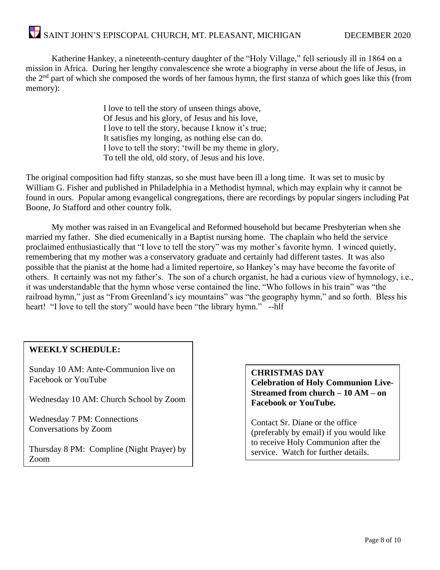# SAINT JOHN'S EPISCOPAL CHURCH, MT. PLEASANT, MICHIGAN DECEMBER 2020

Katherine Hankey, a nineteenth-century daughter of the "Holy Village," fell seriously ill in 1864 on a mission in Africa. During her lengthy convalescence she wrote a biography in verse about the life of Jesus, in the 2nd part of which she composed the words of her famous hymn, the first stanza of which goes like this (from memory):

> I love to tell the story of unseen things above, Of Jesus and his glory, of Jesus and his love, I love to tell the story, because I know it's true; It satisfies my longing, as nothing else can do. I love to tell the story; 'twill be my theme in glory, To tell the old, old story, of Jesus and his love.

The original composition had fifty stanzas, so she must have been ill a long time. It was set to music by William G. Fisher and published in Philadelphia in a Methodist hymnal, which may explain why it cannot be found in ours. Popular among evangelical congregations, there are recordings by popular singers including Pat Boone, Jo Stafford and other country folk.

My mother was raised in an Evangelical and Reformed household but became Presbyterian when she married my father. She died ecumenically in a Baptist nursing home. The chaplain who held the service proclaimed enthusiastically that "I love to tell the story" was my mother's favorite hymn. I winced quietly, remembering that my mother was a conservatory graduate and certainly had different tastes. It was also possible that the pianist at the home had a limited repertoire, so Hankey's may have become the favorite of others. It certainly was not my father's. The son of a church organist, he had a curious view of hymnology, i.e., it was understandable that the hymn whose verse contained the line, "Who follows in his train" was "the railroad hymn," just as "From Greenland's icy mountains" was "the geography hymn," and so forth. Bless his heart! "I love to tell the story" would have been "the library hymn." --hlf

#### **WEEKLY SCHEDULE:**

Sunday 10 AM: Ante-Communion live on Facebook or YouTube

Wednesday 10 AM: Church School by Zoom

Wednesday 7 PM: Connections Conversations by Zoom

Thursday 8 PM: Compline (Night Prayer) by Zoom

**CHRISTMAS DAY Celebration of Holy Communion Live-Streamed from church – 10 AM – on Facebook or YouTube.**

Contact Sr. Diane or the office (preferably by email) if you would like to receive Holy Communion after the service. Watch for further details.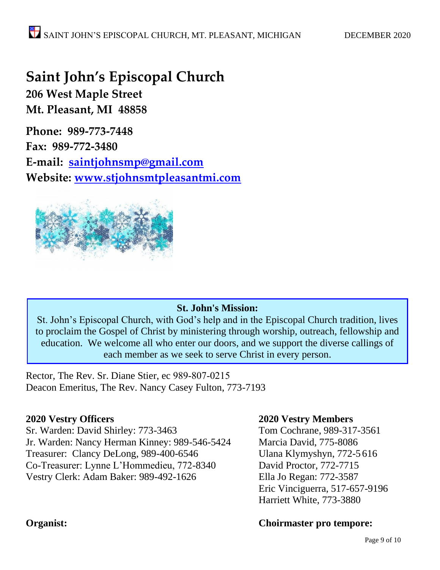# **Saint John's Episcopal Church**

**206 West Maple Street Mt. Pleasant, MI 48858**

**Phone: 989-773-7448 Fax: 989-772-3480 E-mail: [saintjohnsmp@gmail.com](mailto:saintjohnsmp@gmail.com) Website: [www.stjohnsmtpleasantmi.com](http://www.stjohnsmtpleasantmi.com/)**



#### **St. John's Mission:**

St. John's Episcopal Church, with God's help and in the Episcopal Church tradition, lives to proclaim the Gospel of Christ by ministering through worship, outreach, fellowship and education. We welcome all who enter our doors, and we support the diverse callings of each member as we seek to serve Christ in every person.

i

Rector, The Rev. Sr. Diane Stier, ec 989-807-0215 Deacon Emeritus, The Rev. Nancy Casey Fulton, 773-7193

Sr. Warden: David Shirley: 773-3463 Tom Cochrane, 989-317-3561 Jr. Warden: Nancy Herman Kinney: 989-546-5424 Marcia David, 775-8086 Treasurer: Clancy DeLong, 989-400-6546 Ulana Klymyshyn, 772-5 616 Co-Treasurer: Lynne L'Hommedieu, 772-8340 David Proctor, 772-7715 Vestry Clerk: Adam Baker: 989-492-1626 Ella Jo Regan: 772-3587

#### **2020 Vestry Officers 2020 Vestry Members**

Eric Vinciguerra, 517-657-9196 Harriett White, 773-3880

#### **Organist: Choirmaster pro tempore:**